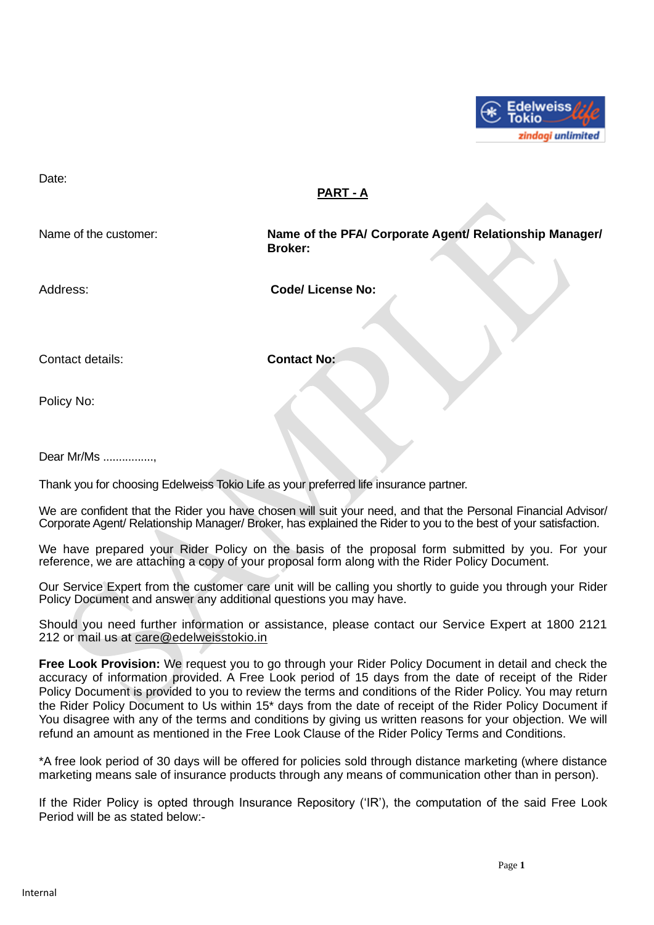

Date:

## **PART - A**

Name of the customer: **Name of the PFA/ Corporate Agent/ Relationship Manager/ Broker:**

Address: **Code/ License No:** 

Contact details: **Contact No:** 

Policy No:

Dear Mr/Ms ................,

Thank you for choosing Edelweiss Tokio Life as your preferred life insurance partner.

We are confident that the Rider you have chosen will suit your need, and that the Personal Financial Advisor/ Corporate Agent/ Relationship Manager/ Broker, has explained the Rider to you to the best of your satisfaction.

We have prepared your Rider Policy on the basis of the proposal form submitted by you. For your reference, we are attaching a copy of your proposal form along with the Rider Policy Document.

Our Service Expert from the customer care unit will be calling you shortly to guide you through your Rider Policy Document and answer any additional questions you may have.

Should you need further information or assistance, please contact our Service Expert at 1800 2121 212 or mail us at [care@edelweisstokio.in](mailto:care@edelweisstokio.in)

**Free Look Provision:** We request you to go through your Rider Policy Document in detail and check the accuracy of information provided. A Free Look period of 15 days from the date of receipt of the Rider Policy Document is provided to you to review the terms and conditions of the Rider Policy. You may return the Rider Policy Document to Us within 15\* days from the date of receipt of the Rider Policy Document if You disagree with any of the terms and conditions by giving us written reasons for your objection. We will refund an amount as mentioned in the Free Look Clause of the Rider Policy Terms and Conditions.

\*A free look period of 30 days will be offered for policies sold through distance marketing (where distance marketing means sale of insurance products through any means of communication other than in person).

If the Rider Policy is opted through Insurance Repository ('IR'), the computation of the said Free Look Period will be as stated below:-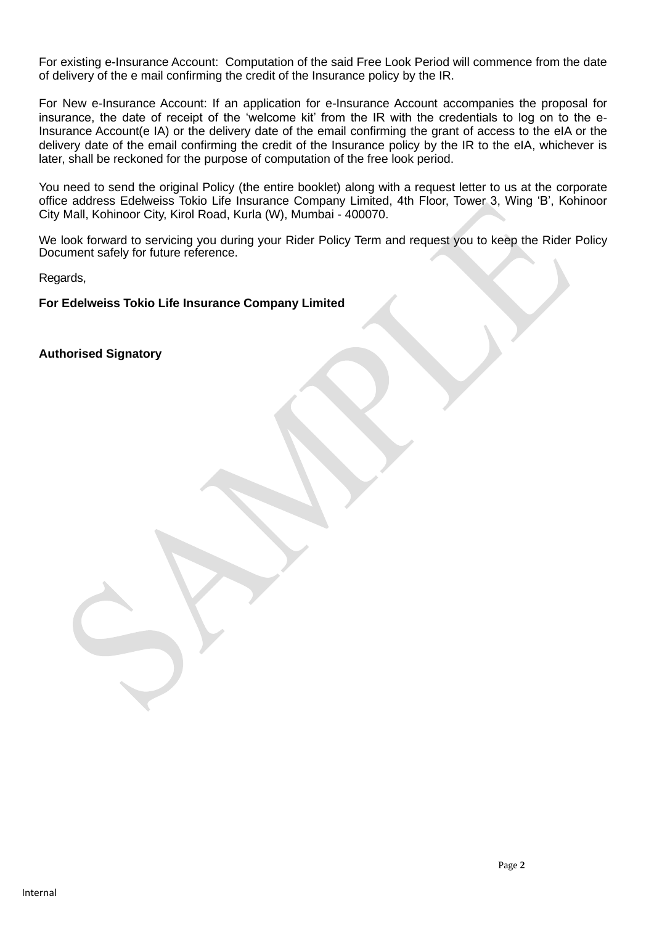For existing e-Insurance Account: Computation of the said Free Look Period will commence from the date of delivery of the e mail confirming the credit of the Insurance policy by the IR.

For New e-Insurance Account: If an application for e-Insurance Account accompanies the proposal for insurance, the date of receipt of the 'welcome kit' from the IR with the credentials to log on to the e-Insurance Account(e IA) or the delivery date of the email confirming the grant of access to the eIA or the delivery date of the email confirming the credit of the Insurance policy by the IR to the eIA, whichever is later, shall be reckoned for the purpose of computation of the free look period.

You need to send the original Policy (the entire booklet) along with a request letter to us at the corporate office address Edelweiss Tokio Life Insurance Company Limited, 4th Floor, Tower 3, Wing 'B', Kohinoor City Mall, Kohinoor City, Kirol Road, Kurla (W), Mumbai - 400070.

We look forward to servicing you during your Rider Policy Term and request you to keep the Rider Policy Document safely for future reference.

Regards,

**For Edelweiss Tokio Life Insurance Company Limited**

**Authorised Signatory**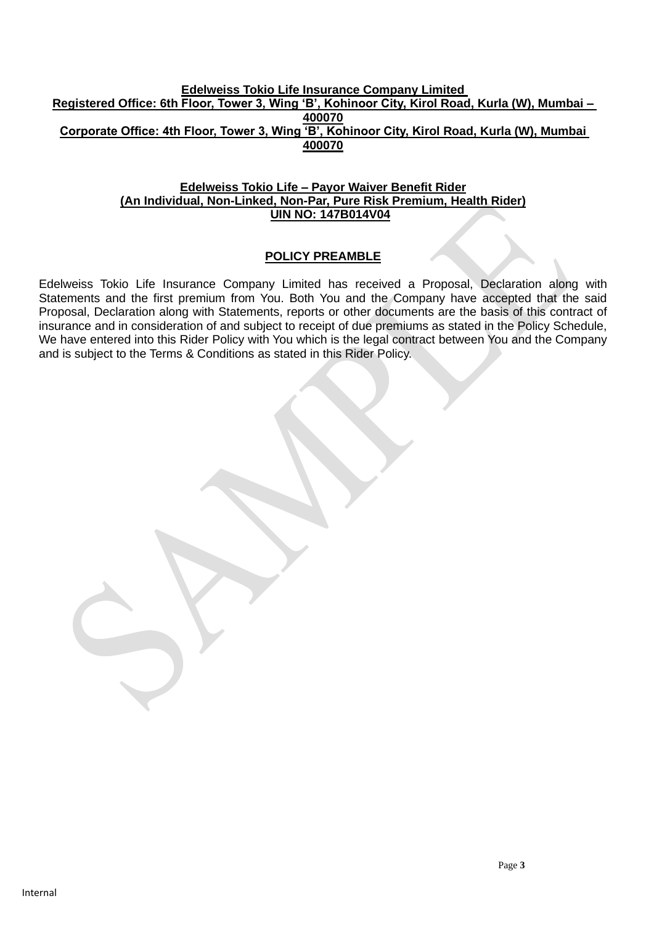#### **Edelweiss Tokio Life Insurance Company Limited Registered Office: 6th Floor, Tower 3, Wing 'B', Kohinoor City, Kirol Road, Kurla (W), Mumbai – 400070 Corporate Office: 4th Floor, Tower 3, Wing 'B', Kohinoor City, Kirol Road, Kurla (W), Mumbai 400070**

#### **Edelweiss Tokio Life – Payor Waiver Benefit Rider (An Individual, Non-Linked, Non-Par, Pure Risk Premium, Health Rider) UIN NO: 147B014V04**

## **POLICY PREAMBLE**

Edelweiss Tokio Life Insurance Company Limited has received a Proposal, Declaration along with Statements and the first premium from You. Both You and the Company have accepted that the said Proposal, Declaration along with Statements, reports or other documents are the basis of this contract of insurance and in consideration of and subject to receipt of due premiums as stated in the Policy Schedule, We have entered into this Rider Policy with You which is the legal contract between You and the Company and is subject to the Terms & Conditions as stated in this Rider Policy.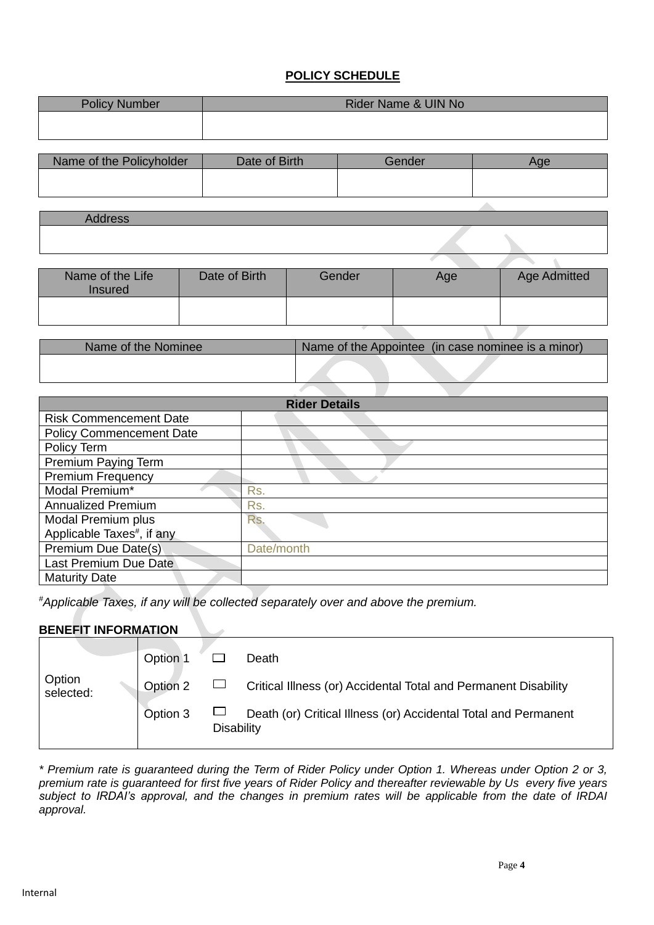#### **POLICY SCHEDULE**

| <b>Policy Number</b> | Rider Name & UIN No |
|----------------------|---------------------|
|                      |                     |

| Name of the Policyholder | Date of Birth | Gender | Aae |
|--------------------------|---------------|--------|-----|
|                          |               |        |     |
|                          |               |        |     |

| Name of the Life<br><b>Insured</b> | Date of Birth | Gender | Age | <b>Age Admitted</b> |
|------------------------------------|---------------|--------|-----|---------------------|
|                                    |               |        |     |                     |
|                                    |               |        |     |                     |

| Name of the Nominee | Name of the Appointee (in case nominee is a minor). |
|---------------------|-----------------------------------------------------|
|                     |                                                     |

| <b>Rider Details</b>                   |            |  |
|----------------------------------------|------------|--|
| <b>Risk Commencement Date</b>          |            |  |
| <b>Policy Commencement Date</b>        |            |  |
| Policy Term                            |            |  |
| Premium Paying Term                    |            |  |
| <b>Premium Frequency</b>               |            |  |
| Modal Premium*                         | Rs.        |  |
| <b>Annualized Premium</b>              | Rs.        |  |
| Modal Premium plus                     | Rs.        |  |
| Applicable Taxes <sup>#</sup> , if any |            |  |
| Premium Due Date(s)                    | Date/month |  |
| Last Premium Due Date                  |            |  |
| <b>Maturity Date</b>                   |            |  |

*#Applicable Taxes, if any will be collected separately over and above the premium.*

#### **BENEFIT INFORMATION**

|                     | Option 1 |                   | Death                                                           |
|---------------------|----------|-------------------|-----------------------------------------------------------------|
| Option<br>selected: | Option 2 |                   | Critical Illness (or) Accidental Total and Permanent Disability |
|                     | Option 3 | <b>Disability</b> | Death (or) Critical Illness (or) Accidental Total and Permanent |

*\* Premium rate is guaranteed during the Term of Rider Policy under Option 1. Whereas under Option 2 or 3, premium rate is guaranteed for first five years of Rider Policy and thereafter reviewable by Us every five years subject to IRDAI's approval, and the changes in premium rates will be applicable from the date of IRDAI approval.*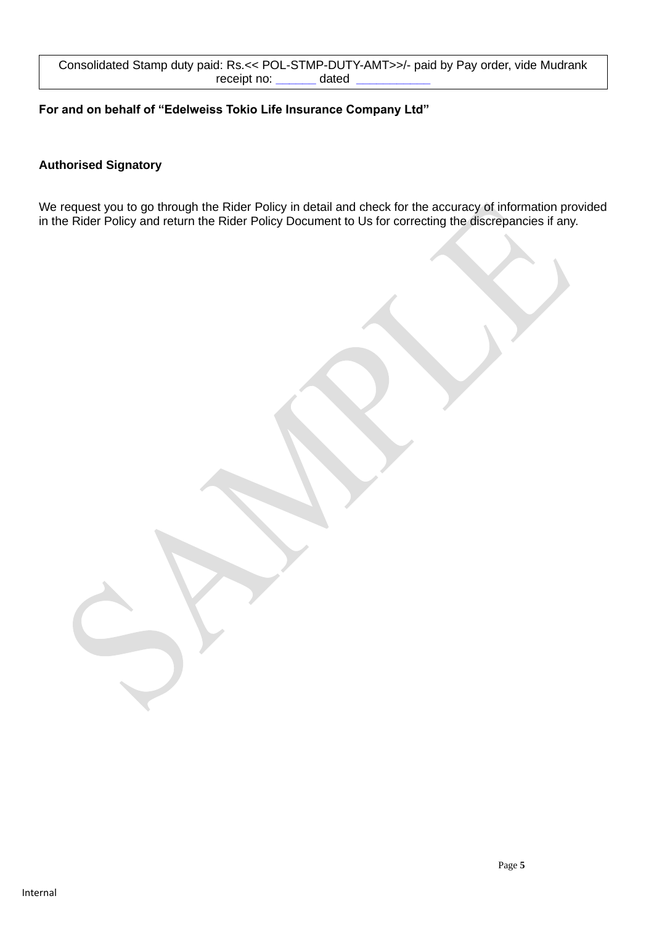#### **For and on behalf of "Edelweiss Tokio Life Insurance Company Ltd"**

# **Authorised Signatory**

We request you to go through the Rider Policy in detail and check for the accuracy of information provided in the Rider Policy and return the Rider Policy Document to Us for correcting the discrepancies if any.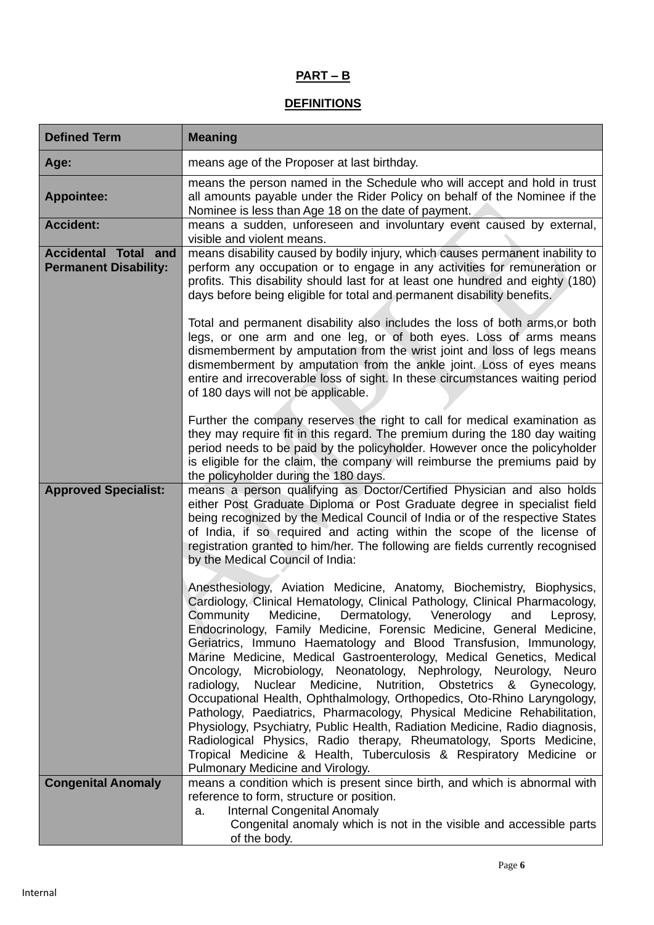# **PART – B**

## **DEFINITIONS**

| <b>Defined Term</b>                                         | <b>Meaning</b>                                                                                                                                                                                                                                                                                                                                                                                                                                                                                                                                                                                                                                                                                                                                                                                                                                                                                                                                                                                             |
|-------------------------------------------------------------|------------------------------------------------------------------------------------------------------------------------------------------------------------------------------------------------------------------------------------------------------------------------------------------------------------------------------------------------------------------------------------------------------------------------------------------------------------------------------------------------------------------------------------------------------------------------------------------------------------------------------------------------------------------------------------------------------------------------------------------------------------------------------------------------------------------------------------------------------------------------------------------------------------------------------------------------------------------------------------------------------------|
| Age:                                                        | means age of the Proposer at last birthday.                                                                                                                                                                                                                                                                                                                                                                                                                                                                                                                                                                                                                                                                                                                                                                                                                                                                                                                                                                |
| <b>Appointee:</b>                                           | means the person named in the Schedule who will accept and hold in trust<br>all amounts payable under the Rider Policy on behalf of the Nominee if the<br>Nominee is less than Age 18 on the date of payment.                                                                                                                                                                                                                                                                                                                                                                                                                                                                                                                                                                                                                                                                                                                                                                                              |
| <b>Accident:</b>                                            | means a sudden, unforeseen and involuntary event caused by external,<br>visible and violent means.                                                                                                                                                                                                                                                                                                                                                                                                                                                                                                                                                                                                                                                                                                                                                                                                                                                                                                         |
| <b>Accidental Total and</b><br><b>Permanent Disability:</b> | means disability caused by bodily injury, which causes permanent inability to<br>perform any occupation or to engage in any activities for remuneration or<br>profits. This disability should last for at least one hundred and eighty (180)<br>days before being eligible for total and permanent disability benefits.<br>Total and permanent disability also includes the loss of both arms, or both                                                                                                                                                                                                                                                                                                                                                                                                                                                                                                                                                                                                     |
|                                                             | legs, or one arm and one leg, or of both eyes. Loss of arms means<br>dismemberment by amputation from the wrist joint and loss of legs means<br>dismemberment by amputation from the ankle joint. Loss of eyes means<br>entire and irrecoverable loss of sight. In these circumstances waiting period<br>of 180 days will not be applicable.                                                                                                                                                                                                                                                                                                                                                                                                                                                                                                                                                                                                                                                               |
|                                                             | Further the company reserves the right to call for medical examination as<br>they may require fit in this regard. The premium during the 180 day waiting<br>period needs to be paid by the policyholder. However once the policyholder<br>is eligible for the claim, the company will reimburse the premiums paid by<br>the policyholder during the 180 days.                                                                                                                                                                                                                                                                                                                                                                                                                                                                                                                                                                                                                                              |
| <b>Approved Specialist:</b>                                 | means a person qualifying as Doctor/Certified Physician and also holds<br>either Post Graduate Diploma or Post Graduate degree in specialist field<br>being recognized by the Medical Council of India or of the respective States<br>of India, if so required and acting within the scope of the license of<br>registration granted to him/her. The following are fields currently recognised<br>by the Medical Council of India:                                                                                                                                                                                                                                                                                                                                                                                                                                                                                                                                                                         |
|                                                             | Anesthesiology, Aviation Medicine, Anatomy, Biochemistry, Biophysics,<br>Cardiology, Clinical Hematology, Clinical Pathology, Clinical Pharmacology,<br>Community Medicine, Dermatology, Venerology and Leprosy,<br>Endocrinology, Family Medicine, Forensic Medicine, General Medicine,<br>Geriatrics, Immuno Haematology and Blood Transfusion, Immunology,<br>Marine Medicine, Medical Gastroenterology, Medical Genetics, Medical<br>Oncology,<br>Microbiology, Neonatology, Nephrology, Neurology, Neuro<br>radiology,<br>Nuclear Medicine, Nutrition, Obstetrics & Gynecology,<br>Occupational Health, Ophthalmology, Orthopedics, Oto-Rhino Laryngology,<br>Pathology, Paediatrics, Pharmacology, Physical Medicine Rehabilitation,<br>Physiology, Psychiatry, Public Health, Radiation Medicine, Radio diagnosis,<br>Radiological Physics, Radio therapy, Rheumatology, Sports Medicine,<br>Tropical Medicine & Health, Tuberculosis & Respiratory Medicine or<br>Pulmonary Medicine and Virology. |
| <b>Congenital Anomaly</b>                                   | means a condition which is present since birth, and which is abnormal with<br>reference to form, structure or position.                                                                                                                                                                                                                                                                                                                                                                                                                                                                                                                                                                                                                                                                                                                                                                                                                                                                                    |
|                                                             | <b>Internal Congenital Anomaly</b><br>a.<br>Congenital anomaly which is not in the visible and accessible parts<br>of the body.                                                                                                                                                                                                                                                                                                                                                                                                                                                                                                                                                                                                                                                                                                                                                                                                                                                                            |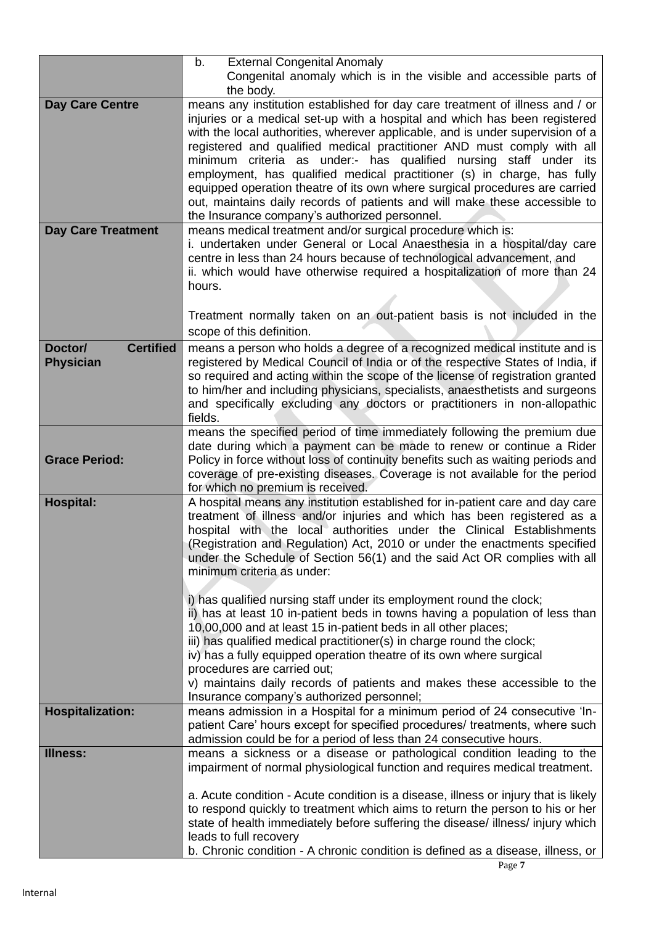|                             | b.<br><b>External Congenital Anomaly</b>                                                                                                                  |
|-----------------------------|-----------------------------------------------------------------------------------------------------------------------------------------------------------|
|                             | Congenital anomaly which is in the visible and accessible parts of<br>the body.                                                                           |
| <b>Day Care Centre</b>      | means any institution established for day care treatment of illness and / or                                                                              |
|                             | injuries or a medical set-up with a hospital and which has been registered                                                                                |
|                             | with the local authorities, wherever applicable, and is under supervision of a                                                                            |
|                             | registered and qualified medical practitioner AND must comply with all                                                                                    |
|                             | minimum criteria as under:- has qualified nursing staff under its                                                                                         |
|                             | employment, has qualified medical practitioner (s) in charge, has fully                                                                                   |
|                             | equipped operation theatre of its own where surgical procedures are carried<br>out, maintains daily records of patients and will make these accessible to |
|                             | the Insurance company's authorized personnel.                                                                                                             |
| <b>Day Care Treatment</b>   | means medical treatment and/or surgical procedure which is:                                                                                               |
|                             | i. undertaken under General or Local Anaesthesia in a hospital/day care                                                                                   |
|                             | centre in less than 24 hours because of technological advancement, and                                                                                    |
|                             | ii. which would have otherwise required a hospitalization of more than 24                                                                                 |
|                             | hours.                                                                                                                                                    |
|                             | Treatment normally taken on an out-patient basis is not included in the                                                                                   |
|                             | scope of this definition.                                                                                                                                 |
| <b>Certified</b><br>Doctor/ | means a person who holds a degree of a recognized medical institute and is                                                                                |
| <b>Physician</b>            | registered by Medical Council of India or of the respective States of India, if                                                                           |
|                             | so required and acting within the scope of the license of registration granted                                                                            |
|                             | to him/her and including physicians, specialists, anaesthetists and surgeons                                                                              |
|                             | and specifically excluding any doctors or practitioners in non-allopathic<br>fields.                                                                      |
|                             | means the specified period of time immediately following the premium due                                                                                  |
|                             | date during which a payment can be made to renew or continue a Rider                                                                                      |
| <b>Grace Period:</b>        | Policy in force without loss of continuity benefits such as waiting periods and                                                                           |
|                             | coverage of pre-existing diseases. Coverage is not available for the period                                                                               |
|                             | for which no premium is received.                                                                                                                         |
| <b>Hospital:</b>            | A hospital means any institution established for in-patient care and day care                                                                             |
|                             | treatment of illness and/or injuries and which has been registered as a<br>hospital with the local authorities under the Clinical Establishments          |
|                             | (Registration and Regulation) Act, 2010 or under the enactments specified                                                                                 |
|                             | under the Schedule of Section 56(1) and the said Act OR complies with all                                                                                 |
|                             | minimum criteria as under:                                                                                                                                |
|                             |                                                                                                                                                           |
|                             | i) has qualified nursing staff under its employment round the clock;                                                                                      |
|                             | ii) has at least 10 in-patient beds in towns having a population of less than<br>10,00,000 and at least 15 in-patient beds in all other places;           |
|                             | iii) has qualified medical practitioner(s) in charge round the clock;                                                                                     |
|                             | iv) has a fully equipped operation theatre of its own where surgical                                                                                      |
|                             | procedures are carried out;                                                                                                                               |
|                             | v) maintains daily records of patients and makes these accessible to the                                                                                  |
|                             | Insurance company's authorized personnel;                                                                                                                 |
| <b>Hospitalization:</b>     | means admission in a Hospital for a minimum period of 24 consecutive 'In-                                                                                 |
|                             | patient Care' hours except for specified procedures/ treatments, where such<br>admission could be for a period of less than 24 consecutive hours.         |
| <b>Illness:</b>             | means a sickness or a disease or pathological condition leading to the                                                                                    |
|                             | impairment of normal physiological function and requires medical treatment.                                                                               |
|                             |                                                                                                                                                           |
|                             | a. Acute condition - Acute condition is a disease, illness or injury that is likely                                                                       |
|                             | to respond quickly to treatment which aims to return the person to his or her                                                                             |
|                             | state of health immediately before suffering the disease/ illness/ injury which<br>leads to full recovery                                                 |
|                             | b. Chronic condition - A chronic condition is defined as a disease, illness, or                                                                           |
|                             |                                                                                                                                                           |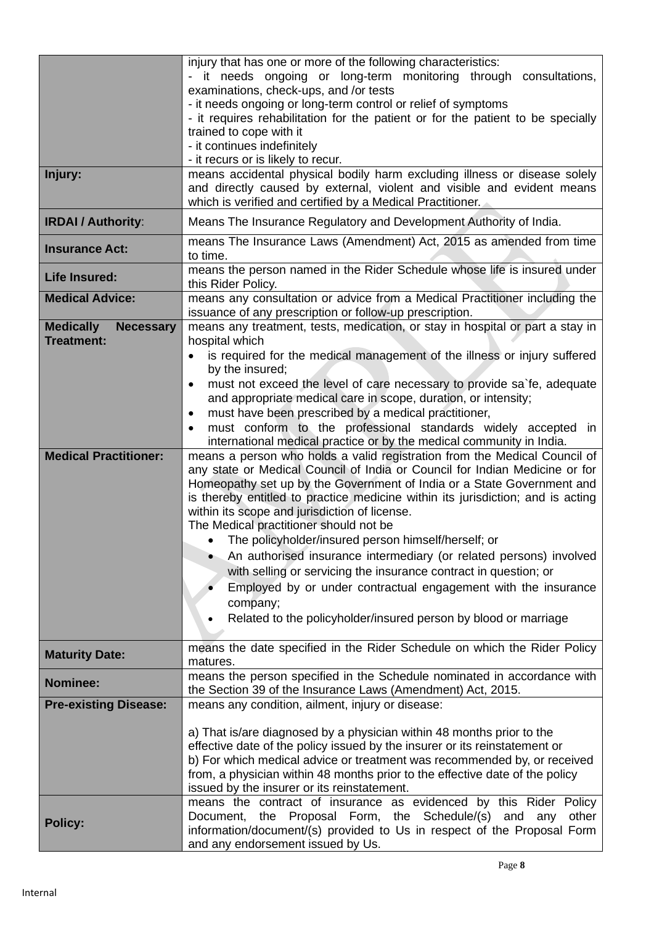|                                                           | injury that has one or more of the following characteristics:<br>- it needs ongoing or long-term monitoring through consultations,<br>examinations, check-ups, and /or tests<br>- it needs ongoing or long-term control or relief of symptoms<br>- it requires rehabilitation for the patient or for the patient to be specially                                                                                 |
|-----------------------------------------------------------|------------------------------------------------------------------------------------------------------------------------------------------------------------------------------------------------------------------------------------------------------------------------------------------------------------------------------------------------------------------------------------------------------------------|
|                                                           | trained to cope with it<br>- it continues indefinitely                                                                                                                                                                                                                                                                                                                                                           |
| Injury:                                                   | - it recurs or is likely to recur.<br>means accidental physical bodily harm excluding illness or disease solely<br>and directly caused by external, violent and visible and evident means<br>which is verified and certified by a Medical Practitioner.                                                                                                                                                          |
| <b>IRDAI / Authority:</b>                                 | Means The Insurance Regulatory and Development Authority of India.                                                                                                                                                                                                                                                                                                                                               |
| <b>Insurance Act:</b>                                     | means The Insurance Laws (Amendment) Act, 2015 as amended from time<br>to time.                                                                                                                                                                                                                                                                                                                                  |
| <b>Life Insured:</b>                                      | means the person named in the Rider Schedule whose life is insured under<br>this Rider Policy.                                                                                                                                                                                                                                                                                                                   |
| <b>Medical Advice:</b>                                    | means any consultation or advice from a Medical Practitioner including the<br>issuance of any prescription or follow-up prescription.                                                                                                                                                                                                                                                                            |
| <b>Medically</b><br><b>Necessary</b><br><b>Treatment:</b> | means any treatment, tests, medication, or stay in hospital or part a stay in<br>hospital which                                                                                                                                                                                                                                                                                                                  |
|                                                           | is required for the medical management of the illness or injury suffered<br>by the insured;                                                                                                                                                                                                                                                                                                                      |
|                                                           | must not exceed the level of care necessary to provide sa`fe, adequate<br>٠                                                                                                                                                                                                                                                                                                                                      |
|                                                           | and appropriate medical care in scope, duration, or intensity;                                                                                                                                                                                                                                                                                                                                                   |
|                                                           | must have been prescribed by a medical practitioner,<br>$\bullet$<br>must conform to the professional standards widely accepted in<br>$\bullet$                                                                                                                                                                                                                                                                  |
|                                                           | international medical practice or by the medical community in India.                                                                                                                                                                                                                                                                                                                                             |
| <b>Medical Practitioner:</b>                              | means a person who holds a valid registration from the Medical Council of<br>any state or Medical Council of India or Council for Indian Medicine or for<br>Homeopathy set up by the Government of India or a State Government and<br>is thereby entitled to practice medicine within its jurisdiction; and is acting<br>within its scope and jurisdiction of license.<br>The Medical practitioner should not be |
|                                                           | • The policyholder/insured person himself/herself; or                                                                                                                                                                                                                                                                                                                                                            |
|                                                           | An authorised insurance intermediary (or related persons) involved<br>with selling or servicing the insurance contract in question; or                                                                                                                                                                                                                                                                           |
|                                                           | Employed by or under contractual engagement with the insurance                                                                                                                                                                                                                                                                                                                                                   |
|                                                           | company;<br>Related to the policyholder/insured person by blood or marriage                                                                                                                                                                                                                                                                                                                                      |
| <b>Maturity Date:</b>                                     | means the date specified in the Rider Schedule on which the Rider Policy<br>matures.                                                                                                                                                                                                                                                                                                                             |
| <b>Nominee:</b>                                           | means the person specified in the Schedule nominated in accordance with<br>the Section 39 of the Insurance Laws (Amendment) Act, 2015.                                                                                                                                                                                                                                                                           |
| <b>Pre-existing Disease:</b>                              | means any condition, ailment, injury or disease:                                                                                                                                                                                                                                                                                                                                                                 |
|                                                           | a) That is/are diagnosed by a physician within 48 months prior to the                                                                                                                                                                                                                                                                                                                                            |
|                                                           | effective date of the policy issued by the insurer or its reinstatement or                                                                                                                                                                                                                                                                                                                                       |
|                                                           | b) For which medical advice or treatment was recommended by, or received                                                                                                                                                                                                                                                                                                                                         |
|                                                           | from, a physician within 48 months prior to the effective date of the policy<br>issued by the insurer or its reinstatement.                                                                                                                                                                                                                                                                                      |
|                                                           | means the contract of insurance as evidenced by this Rider Policy                                                                                                                                                                                                                                                                                                                                                |
| <b>Policy:</b>                                            | Document, the Proposal Form, the Schedule/(s) and any<br>other<br>information/document/(s) provided to Us in respect of the Proposal Form<br>and any endorsement issued by Us.                                                                                                                                                                                                                                   |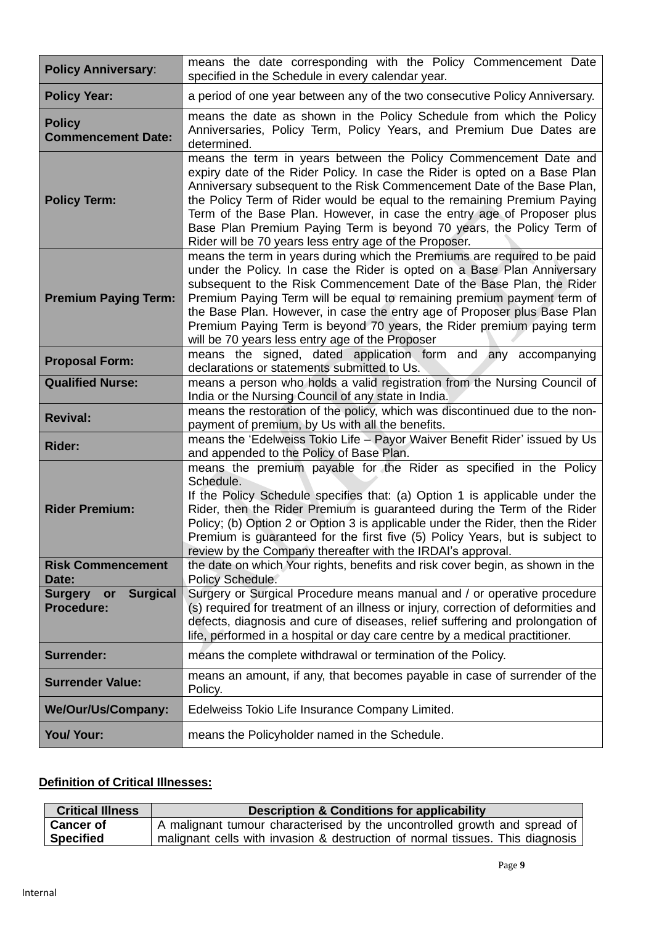| <b>Policy Anniversary:</b>                                   | means the date corresponding with the Policy Commencement Date<br>specified in the Schedule in every calendar year.                                                                                                                                                                                                                                                                                                                                                                                             |
|--------------------------------------------------------------|-----------------------------------------------------------------------------------------------------------------------------------------------------------------------------------------------------------------------------------------------------------------------------------------------------------------------------------------------------------------------------------------------------------------------------------------------------------------------------------------------------------------|
| <b>Policy Year:</b>                                          | a period of one year between any of the two consecutive Policy Anniversary.                                                                                                                                                                                                                                                                                                                                                                                                                                     |
| <b>Policy</b><br><b>Commencement Date:</b>                   | means the date as shown in the Policy Schedule from which the Policy<br>Anniversaries, Policy Term, Policy Years, and Premium Due Dates are<br>determined.                                                                                                                                                                                                                                                                                                                                                      |
| <b>Policy Term:</b>                                          | means the term in years between the Policy Commencement Date and<br>expiry date of the Rider Policy. In case the Rider is opted on a Base Plan<br>Anniversary subsequent to the Risk Commencement Date of the Base Plan,<br>the Policy Term of Rider would be equal to the remaining Premium Paying<br>Term of the Base Plan. However, in case the entry age of Proposer plus<br>Base Plan Premium Paying Term is beyond 70 years, the Policy Term of<br>Rider will be 70 years less entry age of the Proposer. |
| <b>Premium Paying Term:</b>                                  | means the term in years during which the Premiums are required to be paid<br>under the Policy. In case the Rider is opted on a Base Plan Anniversary<br>subsequent to the Risk Commencement Date of the Base Plan, the Rider<br>Premium Paying Term will be equal to remaining premium payment term of<br>the Base Plan. However, in case the entry age of Proposer plus Base Plan<br>Premium Paying Term is beyond 70 years, the Rider premium paying term<br>will be 70 years less entry age of the Proposer  |
| <b>Proposal Form:</b>                                        | means the signed, dated application form and any accompanying<br>declarations or statements submitted to Us.                                                                                                                                                                                                                                                                                                                                                                                                    |
| <b>Qualified Nurse:</b>                                      | means a person who holds a valid registration from the Nursing Council of<br>India or the Nursing Council of any state in India.                                                                                                                                                                                                                                                                                                                                                                                |
| <b>Revival:</b>                                              | means the restoration of the policy, which was discontinued due to the non-<br>payment of premium, by Us with all the benefits.                                                                                                                                                                                                                                                                                                                                                                                 |
| <b>Rider:</b>                                                | means the 'Edelweiss Tokio Life - Payor Waiver Benefit Rider' issued by Us<br>and appended to the Policy of Base Plan.                                                                                                                                                                                                                                                                                                                                                                                          |
| <b>Rider Premium:</b>                                        | means the premium payable for the Rider as specified in the Policy<br>Schedule.<br>If the Policy Schedule specifies that: (a) Option 1 is applicable under the<br>Rider, then the Rider Premium is guaranteed during the Term of the Rider<br>Policy; (b) Option 2 or Option 3 is applicable under the Rider, then the Rider<br>Premium is guaranteed for the first five (5) Policy Years, but is subject to<br>review by the Company thereafter with the IRDAI's approval.                                     |
| <b>Risk Commencement</b><br>Date:                            | the date on which Your rights, benefits and risk cover begin, as shown in the<br>Policy Schedule.                                                                                                                                                                                                                                                                                                                                                                                                               |
| <b>Surgical</b><br><b>Surgery</b><br>or<br><b>Procedure:</b> | Surgery or Surgical Procedure means manual and / or operative procedure<br>(s) required for treatment of an illness or injury, correction of deformities and<br>defects, diagnosis and cure of diseases, relief suffering and prolongation of<br>life, performed in a hospital or day care centre by a medical practitioner.                                                                                                                                                                                    |
| <b>Surrender:</b>                                            | means the complete withdrawal or termination of the Policy.                                                                                                                                                                                                                                                                                                                                                                                                                                                     |
| <b>Surrender Value:</b>                                      | means an amount, if any, that becomes payable in case of surrender of the<br>Policy.                                                                                                                                                                                                                                                                                                                                                                                                                            |
| We/Our/Us/Company:                                           | Edelweiss Tokio Life Insurance Company Limited.                                                                                                                                                                                                                                                                                                                                                                                                                                                                 |
| You/ Your:                                                   | means the Policyholder named in the Schedule.                                                                                                                                                                                                                                                                                                                                                                                                                                                                   |

# **Definition of Critical Illnesses:**

| <b>Critical Illness</b> | <b>Description &amp; Conditions for applicability</b>                         |
|-------------------------|-------------------------------------------------------------------------------|
| <b>Cancer of</b>        | A malignant tumour characterised by the uncontrolled growth and spread of     |
| <b>Specified</b>        | malignant cells with invasion & destruction of normal tissues. This diagnosis |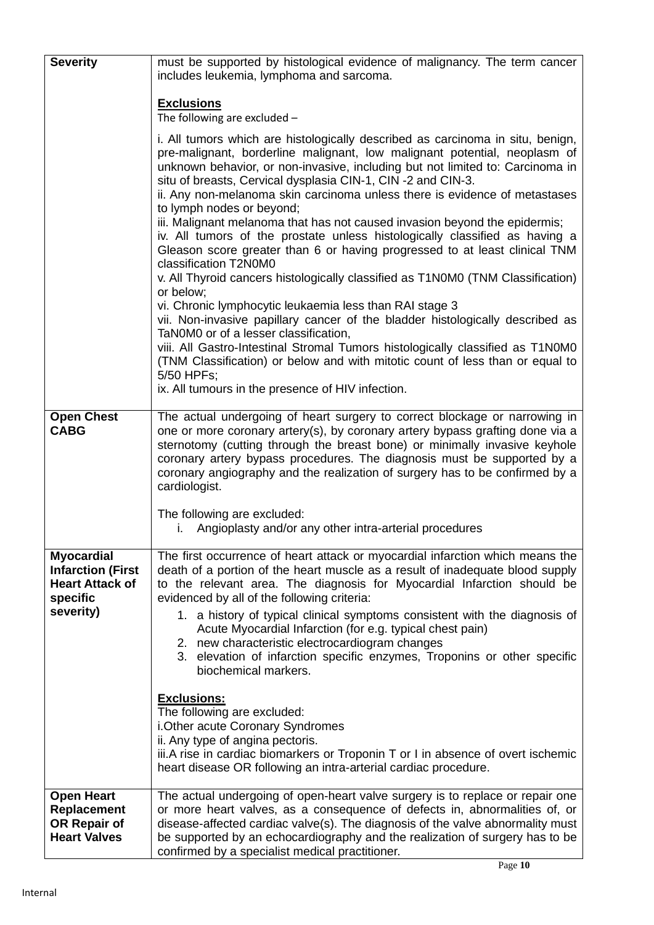| <b>Severity</b>                                                                                  | must be supported by histological evidence of malignancy. The term cancer<br>includes leukemia, lymphoma and sarcoma.                                                                                                                                                                                                                                                                                                                                                                                                                                                                                                                                                                                                                                                                                                                                                                                                                                                                                                                                                                                                                                                                                                 |  |
|--------------------------------------------------------------------------------------------------|-----------------------------------------------------------------------------------------------------------------------------------------------------------------------------------------------------------------------------------------------------------------------------------------------------------------------------------------------------------------------------------------------------------------------------------------------------------------------------------------------------------------------------------------------------------------------------------------------------------------------------------------------------------------------------------------------------------------------------------------------------------------------------------------------------------------------------------------------------------------------------------------------------------------------------------------------------------------------------------------------------------------------------------------------------------------------------------------------------------------------------------------------------------------------------------------------------------------------|--|
|                                                                                                  | <b>Exclusions</b><br>The following are excluded -                                                                                                                                                                                                                                                                                                                                                                                                                                                                                                                                                                                                                                                                                                                                                                                                                                                                                                                                                                                                                                                                                                                                                                     |  |
|                                                                                                  | i. All tumors which are histologically described as carcinoma in situ, benign,<br>pre-malignant, borderline malignant, low malignant potential, neoplasm of<br>unknown behavior, or non-invasive, including but not limited to: Carcinoma in<br>situ of breasts, Cervical dysplasia CIN-1, CIN-2 and CIN-3.<br>ii. Any non-melanoma skin carcinoma unless there is evidence of metastases<br>to lymph nodes or beyond;<br>iii. Malignant melanoma that has not caused invasion beyond the epidermis;<br>iv. All tumors of the prostate unless histologically classified as having a<br>Gleason score greater than 6 or having progressed to at least clinical TNM<br>classification T2N0M0<br>v. All Thyroid cancers histologically classified as T1N0M0 (TNM Classification)<br>or below;<br>vi. Chronic lymphocytic leukaemia less than RAI stage 3<br>vii. Non-invasive papillary cancer of the bladder histologically described as<br>TaN0M0 or of a lesser classification,<br>viii. All Gastro-Intestinal Stromal Tumors histologically classified as T1N0M0<br>(TNM Classification) or below and with mitotic count of less than or equal to<br>5/50 HPFs;<br>ix. All tumours in the presence of HIV infection. |  |
| <b>Open Chest</b><br><b>CABG</b>                                                                 | The actual undergoing of heart surgery to correct blockage or narrowing in<br>one or more coronary artery(s), by coronary artery bypass grafting done via a<br>sternotomy (cutting through the breast bone) or minimally invasive keyhole<br>coronary artery bypass procedures. The diagnosis must be supported by a<br>coronary angiography and the realization of surgery has to be confirmed by a<br>cardiologist.<br>The following are excluded:                                                                                                                                                                                                                                                                                                                                                                                                                                                                                                                                                                                                                                                                                                                                                                  |  |
|                                                                                                  | Angioplasty and/or any other intra-arterial procedures                                                                                                                                                                                                                                                                                                                                                                                                                                                                                                                                                                                                                                                                                                                                                                                                                                                                                                                                                                                                                                                                                                                                                                |  |
| <b>Myocardial</b><br><b>Infarction (First</b><br><b>Heart Attack of</b><br>specific<br>severity) | The first occurrence of heart attack or myocardial infarction which means the<br>death of a portion of the heart muscle as a result of inadequate blood supply<br>to the relevant area. The diagnosis for Myocardial Infarction should be<br>evidenced by all of the following criteria:<br>1. a history of typical clinical symptoms consistent with the diagnosis of<br>Acute Myocardial Infarction (for e.g. typical chest pain)<br>2. new characteristic electrocardiogram changes<br>3. elevation of infarction specific enzymes, Troponins or other specific<br>biochemical markers.                                                                                                                                                                                                                                                                                                                                                                                                                                                                                                                                                                                                                            |  |
|                                                                                                  | <b>Exclusions:</b><br>The following are excluded:<br>i. Other acute Coronary Syndromes<br>ii. Any type of angina pectoris.<br>iii.A rise in cardiac biomarkers or Troponin T or I in absence of overt ischemic<br>heart disease OR following an intra-arterial cardiac procedure.                                                                                                                                                                                                                                                                                                                                                                                                                                                                                                                                                                                                                                                                                                                                                                                                                                                                                                                                     |  |
| <b>Open Heart</b><br><b>Replacement</b><br>OR Repair of<br><b>Heart Valves</b>                   | The actual undergoing of open-heart valve surgery is to replace or repair one<br>or more heart valves, as a consequence of defects in, abnormalities of, or<br>disease-affected cardiac valve(s). The diagnosis of the valve abnormality must<br>be supported by an echocardiography and the realization of surgery has to be<br>confirmed by a specialist medical practitioner.                                                                                                                                                                                                                                                                                                                                                                                                                                                                                                                                                                                                                                                                                                                                                                                                                                      |  |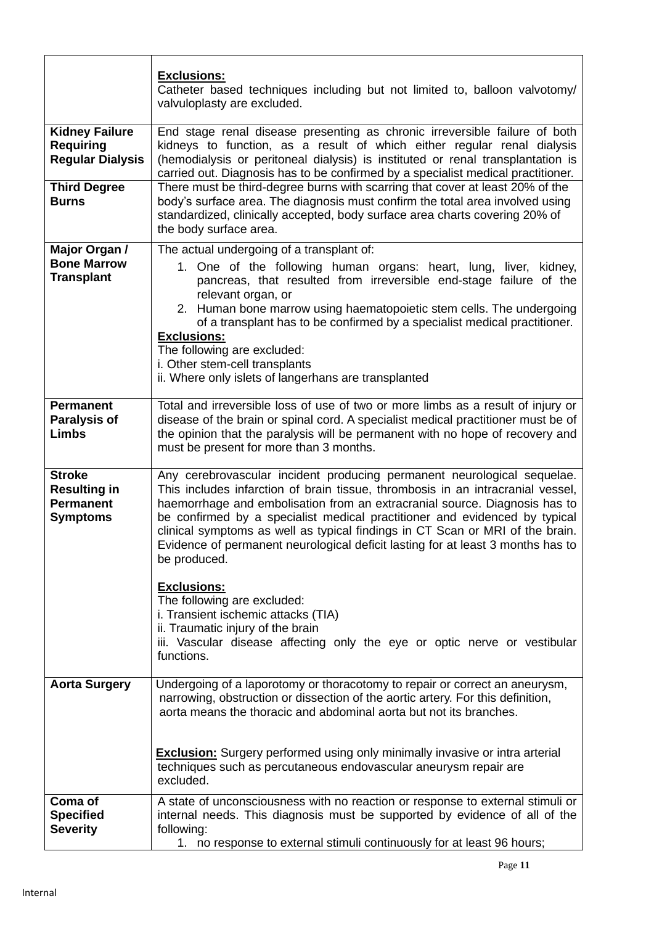|                                                                                                             | <b>Exclusions:</b><br>Catheter based techniques including but not limited to, balloon valvotomy/<br>valvuloplasty are excluded.                                                                                                                                                                                                                                                                                                                                                                                                                                                                         |
|-------------------------------------------------------------------------------------------------------------|---------------------------------------------------------------------------------------------------------------------------------------------------------------------------------------------------------------------------------------------------------------------------------------------------------------------------------------------------------------------------------------------------------------------------------------------------------------------------------------------------------------------------------------------------------------------------------------------------------|
| <b>Kidney Failure</b><br><b>Requiring</b><br><b>Regular Dialysis</b><br><b>Third Degree</b><br><b>Burns</b> | End stage renal disease presenting as chronic irreversible failure of both<br>kidneys to function, as a result of which either regular renal dialysis<br>(hemodialysis or peritoneal dialysis) is instituted or renal transplantation is<br>carried out. Diagnosis has to be confirmed by a specialist medical practitioner.<br>There must be third-degree burns with scarring that cover at least 20% of the<br>body's surface area. The diagnosis must confirm the total area involved using<br>standardized, clinically accepted, body surface area charts covering 20% of<br>the body surface area. |
| Major Organ /<br><b>Bone Marrow</b><br><b>Transplant</b>                                                    | The actual undergoing of a transplant of:<br>1. One of the following human organs: heart, lung, liver, kidney,<br>pancreas, that resulted from irreversible end-stage failure of the<br>relevant organ, or<br>2. Human bone marrow using haematopoietic stem cells. The undergoing<br>of a transplant has to be confirmed by a specialist medical practitioner.<br><b>Exclusions:</b><br>The following are excluded:<br>i. Other stem-cell transplants<br>ii. Where only islets of langerhans are transplanted                                                                                          |
| <b>Permanent</b><br><b>Paralysis of</b><br><b>Limbs</b>                                                     | Total and irreversible loss of use of two or more limbs as a result of injury or<br>disease of the brain or spinal cord. A specialist medical practitioner must be of<br>the opinion that the paralysis will be permanent with no hope of recovery and<br>must be present for more than 3 months.                                                                                                                                                                                                                                                                                                       |
| <b>Stroke</b><br><b>Resulting in</b><br><b>Permanent</b><br><b>Symptoms</b>                                 | Any cerebrovascular incident producing permanent neurological sequelae.<br>This includes infarction of brain tissue, thrombosis in an intracranial vessel,<br>haemorrhage and embolisation from an extracranial source. Diagnosis has to<br>be confirmed by a specialist medical practitioner and evidenced by typical<br>clinical symptoms as well as typical findings in CT Scan or MRI of the brain.<br>Evidence of permanent neurological deficit lasting for at least 3 months has to<br>be produced.                                                                                              |
|                                                                                                             | <b>Exclusions:</b><br>The following are excluded:<br>i. Transient ischemic attacks (TIA)<br>ii. Traumatic injury of the brain<br>iii. Vascular disease affecting only the eye or optic nerve or vestibular<br>functions.                                                                                                                                                                                                                                                                                                                                                                                |
| <b>Aorta Surgery</b>                                                                                        | Undergoing of a laporotomy or thoracotomy to repair or correct an aneurysm,<br>narrowing, obstruction or dissection of the aortic artery. For this definition,<br>aorta means the thoracic and abdominal aorta but not its branches.                                                                                                                                                                                                                                                                                                                                                                    |
|                                                                                                             | <b>Exclusion:</b> Surgery performed using only minimally invasive or intra arterial<br>techniques such as percutaneous endovascular aneurysm repair are<br>excluded.                                                                                                                                                                                                                                                                                                                                                                                                                                    |
| Coma of<br><b>Specified</b><br><b>Severity</b>                                                              | A state of unconsciousness with no reaction or response to external stimuli or<br>internal needs. This diagnosis must be supported by evidence of all of the<br>following:<br>1. no response to external stimuli continuously for at least 96 hours;                                                                                                                                                                                                                                                                                                                                                    |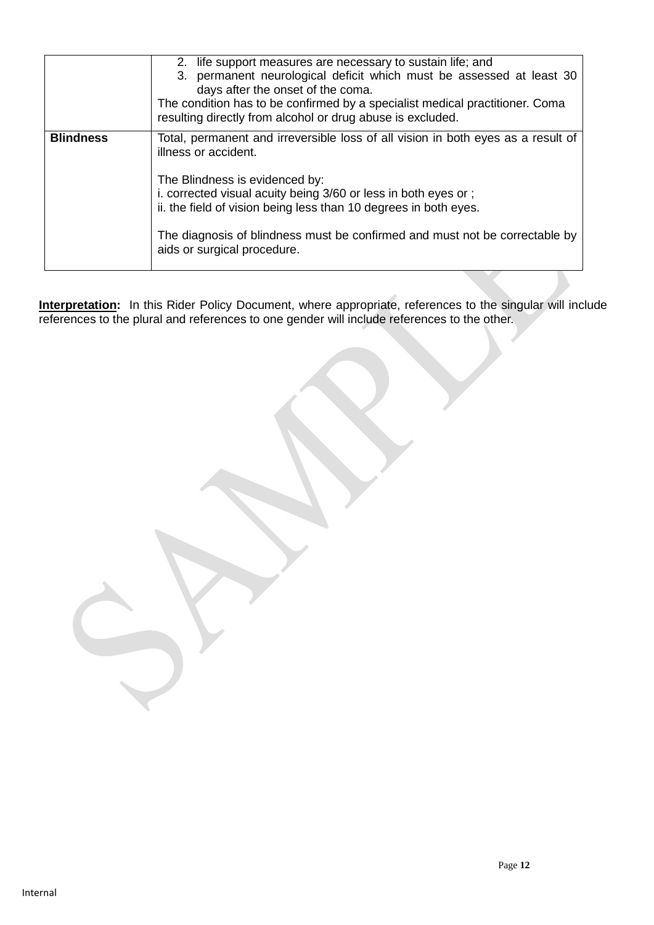|                  | 2. life support measures are necessary to sustain life; and<br>3. permanent neurological deficit which must be assessed at least 30<br>days after the onset of the coma.<br>The condition has to be confirmed by a specialist medical practitioner. Coma<br>resulting directly from alcohol or drug abuse is excluded.                                                                         |
|------------------|------------------------------------------------------------------------------------------------------------------------------------------------------------------------------------------------------------------------------------------------------------------------------------------------------------------------------------------------------------------------------------------------|
| <b>Blindness</b> | Total, permanent and irreversible loss of all vision in both eyes as a result of<br>illness or accident.<br>The Blindness is evidenced by:<br>i. corrected visual acuity being 3/60 or less in both eyes or;<br>ii. the field of vision being less than 10 degrees in both eyes.<br>The diagnosis of blindness must be confirmed and must not be correctable by<br>aids or surgical procedure. |

**Interpretation:** In this Rider Policy Document, where appropriate, references to the singular will include references to the plural and references to one gender will include references to the other.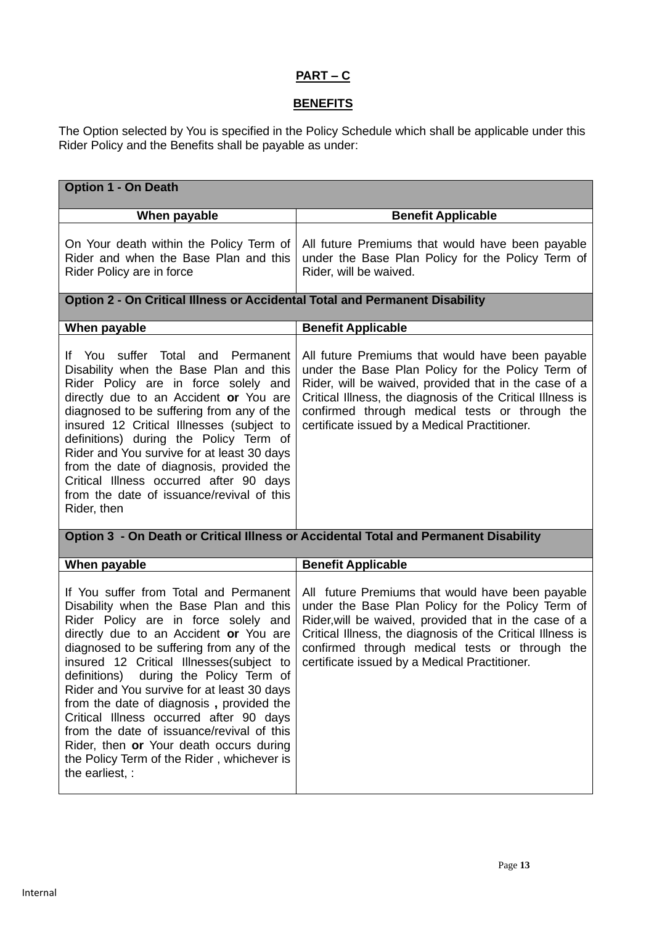## **PART – C**

## **BENEFITS**

The Option selected by You is specified in the Policy Schedule which shall be applicable under this Rider Policy and the Benefits shall be payable as under:

| <b>Option 1 - On Death</b>                                                                                                                                                                                                                                                                                                                                                                                                                                                                                                                                                                             |                                                                                                                                                                                                                                                                                                                                 |  |
|--------------------------------------------------------------------------------------------------------------------------------------------------------------------------------------------------------------------------------------------------------------------------------------------------------------------------------------------------------------------------------------------------------------------------------------------------------------------------------------------------------------------------------------------------------------------------------------------------------|---------------------------------------------------------------------------------------------------------------------------------------------------------------------------------------------------------------------------------------------------------------------------------------------------------------------------------|--|
| When payable                                                                                                                                                                                                                                                                                                                                                                                                                                                                                                                                                                                           | <b>Benefit Applicable</b>                                                                                                                                                                                                                                                                                                       |  |
| On Your death within the Policy Term of<br>Rider and when the Base Plan and this<br>Rider Policy are in force                                                                                                                                                                                                                                                                                                                                                                                                                                                                                          | All future Premiums that would have been payable<br>under the Base Plan Policy for the Policy Term of<br>Rider, will be waived.                                                                                                                                                                                                 |  |
| Option 2 - On Critical Illness or Accidental Total and Permanent Disability                                                                                                                                                                                                                                                                                                                                                                                                                                                                                                                            |                                                                                                                                                                                                                                                                                                                                 |  |
| When payable                                                                                                                                                                                                                                                                                                                                                                                                                                                                                                                                                                                           | <b>Benefit Applicable</b>                                                                                                                                                                                                                                                                                                       |  |
| If You suffer Total and Permanent<br>Disability when the Base Plan and this<br>Rider Policy are in force solely and<br>directly due to an Accident or You are<br>diagnosed to be suffering from any of the<br>insured 12 Critical Illnesses (subject to<br>definitions) during the Policy Term of<br>Rider and You survive for at least 30 days<br>from the date of diagnosis, provided the<br>Critical Illness occurred after 90 days<br>from the date of issuance/revival of this<br>Rider, then                                                                                                     | All future Premiums that would have been payable<br>under the Base Plan Policy for the Policy Term of<br>Rider, will be waived, provided that in the case of a<br>Critical Illness, the diagnosis of the Critical Illness is<br>confirmed through medical tests or through the<br>certificate issued by a Medical Practitioner. |  |
|                                                                                                                                                                                                                                                                                                                                                                                                                                                                                                                                                                                                        | Option 3 - On Death or Critical Illness or Accidental Total and Permanent Disability                                                                                                                                                                                                                                            |  |
| When payable                                                                                                                                                                                                                                                                                                                                                                                                                                                                                                                                                                                           | <b>Benefit Applicable</b>                                                                                                                                                                                                                                                                                                       |  |
| If You suffer from Total and Permanent<br>Disability when the Base Plan and this<br>Rider Policy are in force solely and<br>directly due to an Accident or You are<br>diagnosed to be suffering from any of the<br>insured 12 Critical Illnesses(subject to<br>during the Policy Term of<br>definitions)<br>Rider and You survive for at least 30 days<br>from the date of diagnosis, provided the<br>Critical Illness occurred after 90 days<br>from the date of issuance/revival of this<br>Rider, then or Your death occurs during<br>the Policy Term of the Rider, whichever is<br>the earliest, : | All future Premiums that would have been payable<br>under the Base Plan Policy for the Policy Term of<br>Rider, will be waived, provided that in the case of a<br>Critical Illness, the diagnosis of the Critical Illness is<br>confirmed through medical tests or through the<br>certificate issued by a Medical Practitioner. |  |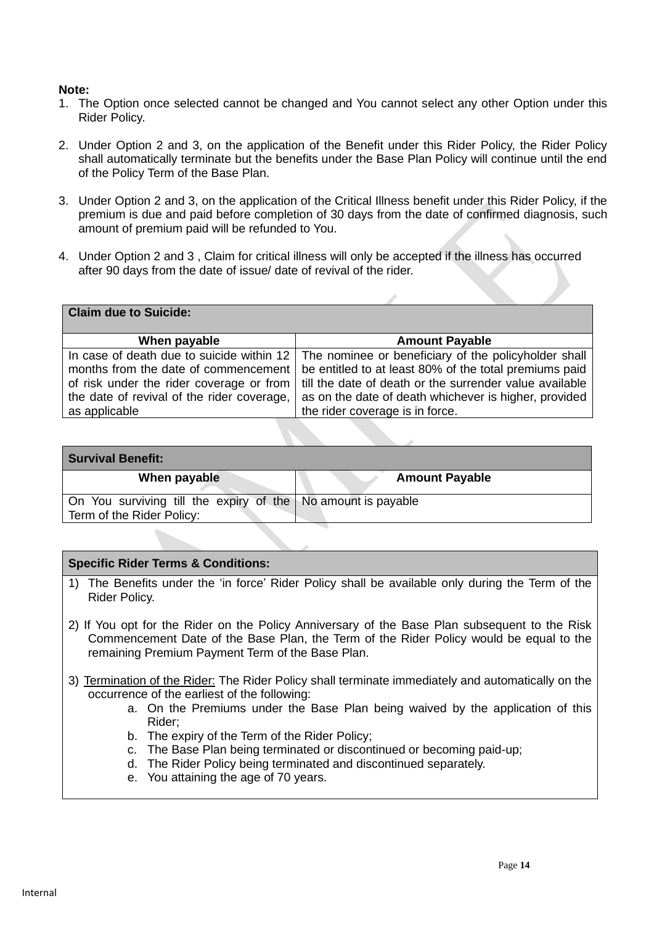#### **Note:**

- 1. The Option once selected cannot be changed and You cannot select any other Option under this Rider Policy.
- 2. Under Option 2 and 3, on the application of the Benefit under this Rider Policy, the Rider Policy shall automatically terminate but the benefits under the Base Plan Policy will continue until the end of the Policy Term of the Base Plan.
- 3. Under Option 2 and 3, on the application of the Critical Illness benefit under this Rider Policy, if the premium is due and paid before completion of 30 days from the date of confirmed diagnosis, such amount of premium paid will be refunded to You.
- 4. Under Option 2 and 3 , Claim for critical illness will only be accepted if the illness has occurred after 90 days from the date of issue/ date of revival of the rider.

| <b>Claim due to Suicide:</b>               |                                                                                                       |
|--------------------------------------------|-------------------------------------------------------------------------------------------------------|
| When payable                               | <b>Amount Payable</b>                                                                                 |
|                                            | In case of death due to suicide within $12 \mid$ The nominee or beneficiary of the policyholder shall |
| months from the date of commencement       | be entitled to at least 80% of the total premiums paid                                                |
| of risk under the rider coverage or from   | till the date of death or the surrender value available                                               |
| the date of revival of the rider coverage, | as on the date of death whichever is higher, provided                                                 |
| as applicable                              | the rider coverage is in force.                                                                       |

| <b>Survival Benefit:</b>                                                                  |                       |  |
|-------------------------------------------------------------------------------------------|-----------------------|--|
| When payable                                                                              | <b>Amount Payable</b> |  |
| On You surviving till the expiry of the No amount is payable<br>Term of the Rider Policy: |                       |  |

#### **Specific Rider Terms & Conditions:**

- 1) The Benefits under the 'in force' Rider Policy shall be available only during the Term of the Rider Policy.
- 2) If You opt for the Rider on the Policy Anniversary of the Base Plan subsequent to the Risk Commencement Date of the Base Plan, the Term of the Rider Policy would be equal to the remaining Premium Payment Term of the Base Plan.
- 3) Termination of the Rider: The Rider Policy shall terminate immediately and automatically on the occurrence of the earliest of the following:
	- a. On the Premiums under the Base Plan being waived by the application of this Rider;
	- b. The expiry of the Term of the Rider Policy;
	- c. The Base Plan being terminated or discontinued or becoming paid-up;
	- d. The Rider Policy being terminated and discontinued separately.
	- e. You attaining the age of 70 years.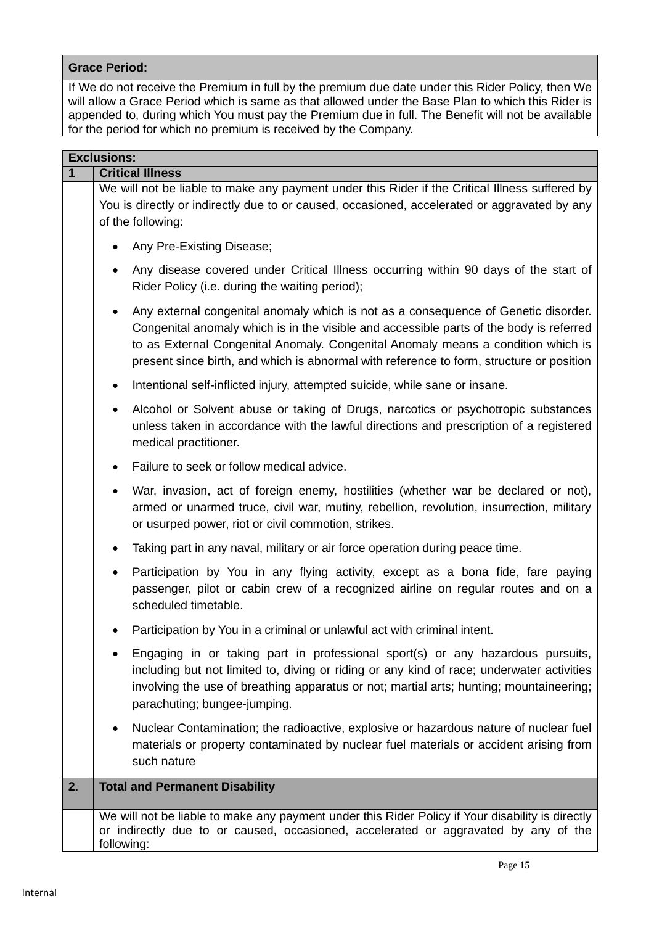#### **Grace Period:**

If We do not receive the Premium in full by the premium due date under this Rider Policy, then We will allow a Grace Period which is same as that allowed under the Base Plan to which this Rider is appended to, during which You must pay the Premium due in full. The Benefit will not be available for the period for which no premium is received by the Company.

|    | <b>Exclusions:</b>                                                                                                                                                                                                                                                                                                                                                         |  |
|----|----------------------------------------------------------------------------------------------------------------------------------------------------------------------------------------------------------------------------------------------------------------------------------------------------------------------------------------------------------------------------|--|
| 1  | <b>Critical Illness</b>                                                                                                                                                                                                                                                                                                                                                    |  |
|    | We will not be liable to make any payment under this Rider if the Critical Illness suffered by<br>You is directly or indirectly due to or caused, occasioned, accelerated or aggravated by any<br>of the following:                                                                                                                                                        |  |
|    | Any Pre-Existing Disease;<br>$\bullet$                                                                                                                                                                                                                                                                                                                                     |  |
|    | Any disease covered under Critical Illness occurring within 90 days of the start of<br>$\bullet$<br>Rider Policy (i.e. during the waiting period);                                                                                                                                                                                                                         |  |
|    | Any external congenital anomaly which is not as a consequence of Genetic disorder.<br>$\bullet$<br>Congenital anomaly which is in the visible and accessible parts of the body is referred<br>to as External Congenital Anomaly. Congenital Anomaly means a condition which is<br>present since birth, and which is abnormal with reference to form, structure or position |  |
|    | Intentional self-inflicted injury, attempted suicide, while sane or insane.<br>$\bullet$                                                                                                                                                                                                                                                                                   |  |
|    | Alcohol or Solvent abuse or taking of Drugs, narcotics or psychotropic substances<br>$\bullet$<br>unless taken in accordance with the lawful directions and prescription of a registered<br>medical practitioner.                                                                                                                                                          |  |
|    | Failure to seek or follow medical advice.<br>$\bullet$                                                                                                                                                                                                                                                                                                                     |  |
|    | War, invasion, act of foreign enemy, hostilities (whether war be declared or not),<br>armed or unarmed truce, civil war, mutiny, rebellion, revolution, insurrection, military<br>or usurped power, riot or civil commotion, strikes.                                                                                                                                      |  |
|    | Taking part in any naval, military or air force operation during peace time.<br>$\bullet$                                                                                                                                                                                                                                                                                  |  |
|    | Participation by You in any flying activity, except as a bona fide, fare paying<br>$\bullet$<br>passenger, pilot or cabin crew of a recognized airline on regular routes and on a<br>scheduled timetable.                                                                                                                                                                  |  |
|    | Participation by You in a criminal or unlawful act with criminal intent.<br>٠                                                                                                                                                                                                                                                                                              |  |
|    | Engaging in or taking part in professional sport(s) or any hazardous pursuits,<br>٠<br>including but not limited to, diving or riding or any kind of race; underwater activities<br>involving the use of breathing apparatus or not; martial arts; hunting; mountaineering;<br>parachuting; bungee-jumping.                                                                |  |
|    | Nuclear Contamination; the radioactive, explosive or hazardous nature of nuclear fuel<br>$\bullet$<br>materials or property contaminated by nuclear fuel materials or accident arising from<br>such nature                                                                                                                                                                 |  |
| 2. | <b>Total and Permanent Disability</b>                                                                                                                                                                                                                                                                                                                                      |  |
|    | We will not be liable to make any payment under this Rider Policy if Your disability is directly<br>or indirectly due to or caused, occasioned, accelerated or aggravated by any of the<br>following:                                                                                                                                                                      |  |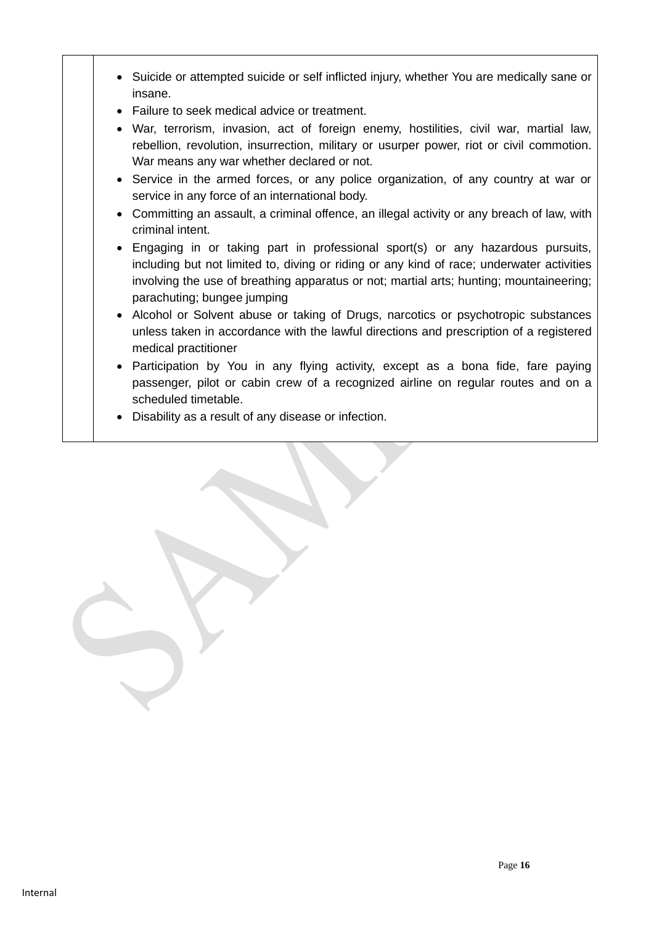- Suicide or attempted suicide or self inflicted injury, whether You are medically sane or insane.
- Failure to seek medical advice or treatment.
- War, terrorism, invasion, act of foreign enemy, hostilities, civil war, martial law, rebellion, revolution, insurrection, military or usurper power, riot or civil commotion. War means any war whether declared or not.
- Service in the armed forces, or any police organization, of any country at war or service in any force of an international body.
- Committing an assault, a criminal offence, an illegal activity or any breach of law, with criminal intent.
- Engaging in or taking part in professional sport(s) or any hazardous pursuits, including but not limited to, diving or riding or any kind of race; underwater activities involving the use of breathing apparatus or not; martial arts; hunting; mountaineering; parachuting; bungee jumping
- Alcohol or Solvent abuse or taking of Drugs, narcotics or psychotropic substances unless taken in accordance with the lawful directions and prescription of a registered medical practitioner
- Participation by You in any flying activity, except as a bona fide, fare paying passenger, pilot or cabin crew of a recognized airline on regular routes and on a scheduled timetable.
- Disability as a result of any disease or infection.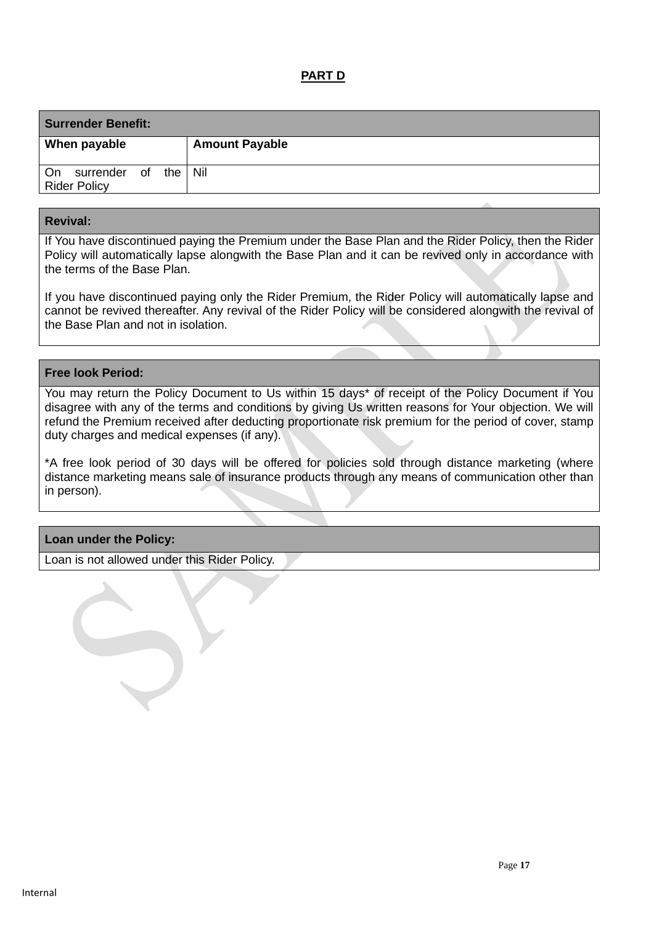## **PART D**

| <b>Surrender Benefit:</b>                              |                       |  |  |  |
|--------------------------------------------------------|-----------------------|--|--|--|
| When payable                                           | <b>Amount Payable</b> |  |  |  |
| the   Nil<br>On<br>surrender of<br><b>Rider Policy</b> |                       |  |  |  |

#### **Revival:**

If You have discontinued paying the Premium under the Base Plan and the Rider Policy, then the Rider Policy will automatically lapse alongwith the Base Plan and it can be revived only in accordance with the terms of the Base Plan.

If you have discontinued paying only the Rider Premium, the Rider Policy will automatically lapse and cannot be revived thereafter. Any revival of the Rider Policy will be considered alongwith the revival of the Base Plan and not in isolation.

#### **Free look Period:**

You may return the Policy Document to Us within 15 days\* of receipt of the Policy Document if You disagree with any of the terms and conditions by giving Us written reasons for Your objection. We will refund the Premium received after deducting proportionate risk premium for the period of cover, stamp duty charges and medical expenses (if any).

\*A free look period of 30 days will be offered for policies sold through distance marketing (where distance marketing means sale of insurance products through any means of communication other than in person).

#### **Loan under the Policy:**

Loan is not allowed under this Rider Policy.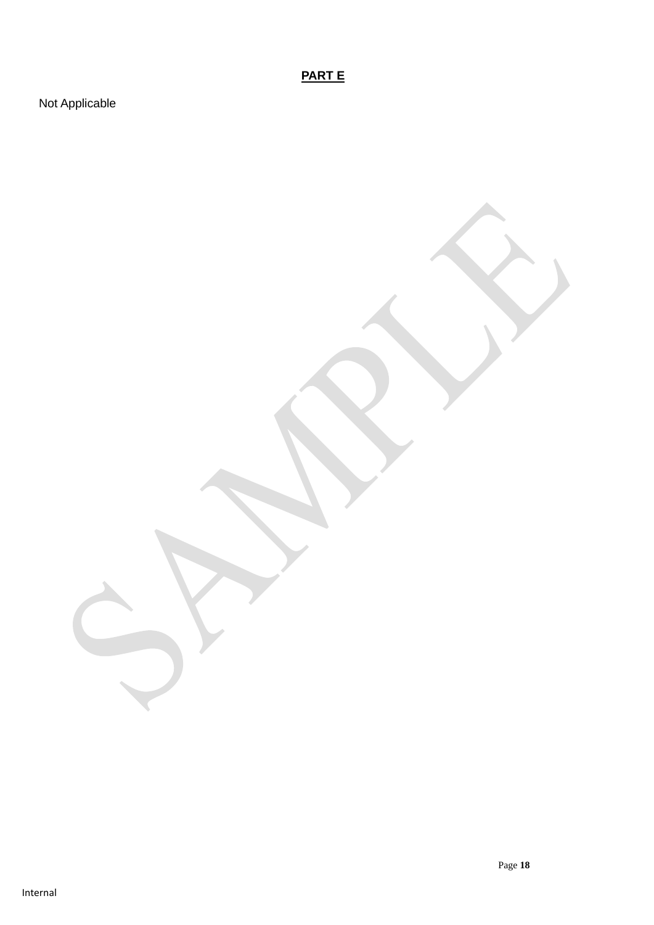**PART E**

Not Applicable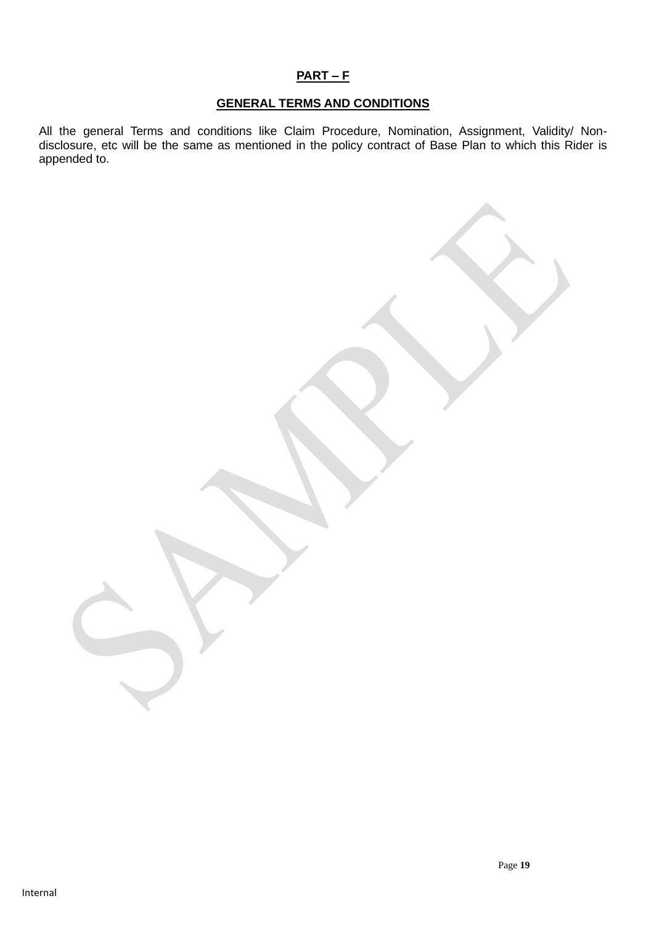# **PART – F**

#### **GENERAL TERMS AND CONDITIONS**

All the general Terms and conditions like Claim Procedure, Nomination, Assignment, Validity/ Nondisclosure, etc will be the same as mentioned in the policy contract of Base Plan to which this Rider is appended to.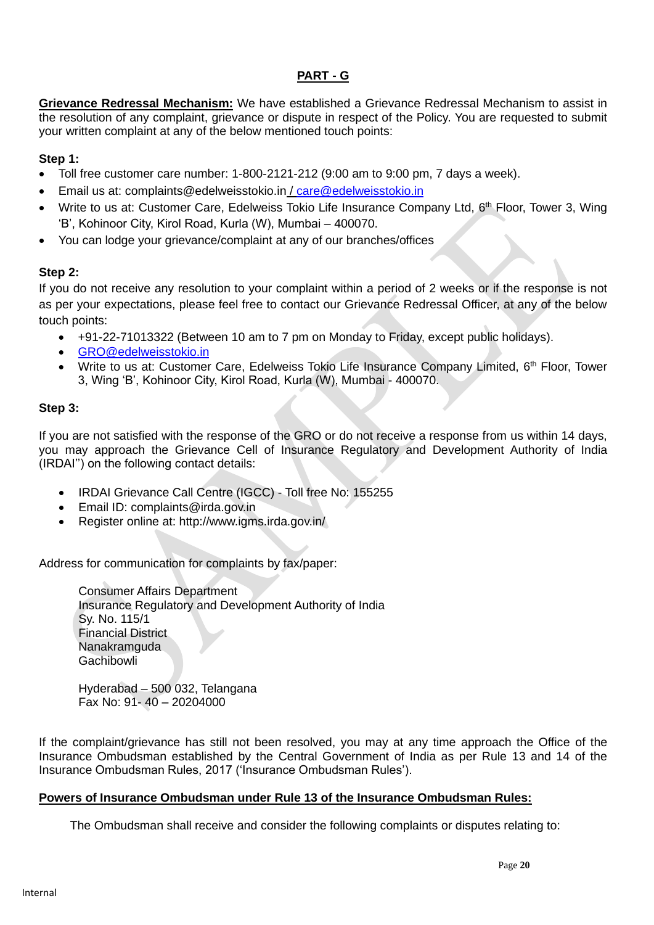## **PART - G**

**Grievance Redressal Mechanism:** We have established a Grievance Redressal Mechanism to assist in the resolution of any complaint, grievance or dispute in respect of the Policy. You are requested to submit your written complaint at any of the below mentioned touch points:

### **Step 1:**

- Toll free customer care number: 1-800-2121-212 (9:00 am to 9:00 pm, 7 days a week).
- Email us at: complaints@edelweisstokio.in / [care@edelweisstokio.in](mailto:care@edelweisstokio.in)
- Write to us at: Customer Care, Edelweiss Tokio Life Insurance Company Ltd, 6<sup>th</sup> Floor, Tower 3, Wing 'B', Kohinoor City, Kirol Road, Kurla (W), Mumbai – 400070.
- You can lodge your grievance/complaint at any of our branches/offices

### **Step 2:**

If you do not receive any resolution to your complaint within a period of 2 weeks or if the response is not as per your expectations, please feel free to contact our Grievance Redressal Officer, at any of the below touch points:

- +91-22-71013322 (Between 10 am to 7 pm on Monday to Friday, except public holidays).
- [GRO@edelweisstokio.in](mailto:GRO@edelweisstokio.in)
- Write to us at: Customer Care, Edelweiss Tokio Life Insurance Company Limited, 6<sup>th</sup> Floor, Tower 3, Wing 'B', Kohinoor City, Kirol Road, Kurla (W), Mumbai - 400070.

#### **Step 3:**

If you are not satisfied with the response of the GRO or do not receive a response from us within 14 days, you may approach the Grievance Cell of Insurance Regulatory and Development Authority of India (IRDAI'') on the following contact details:

- IRDAI Grievance Call Centre (IGCC) Toll free No: 155255
- Email ID: complaints@irda.gov.in
- Register online at: http://www.igms.irda.gov.in/

Address for communication for complaints by fax/paper:

Consumer Affairs Department Insurance Regulatory and Development Authority of India Sy. No. 115/1 Financial District Nanakramguda Gachibowli

Hyderabad – 500 032, Telangana Fax No: 91- 40 – 20204000

If the complaint/grievance has still not been resolved, you may at any time approach the Office of the Insurance Ombudsman established by the Central Government of India as per Rule 13 and 14 of the Insurance Ombudsman Rules, 2017 ('Insurance Ombudsman Rules').

#### **Powers of Insurance Ombudsman under Rule 13 of the Insurance Ombudsman Rules:**

The Ombudsman shall receive and consider the following complaints or disputes relating to: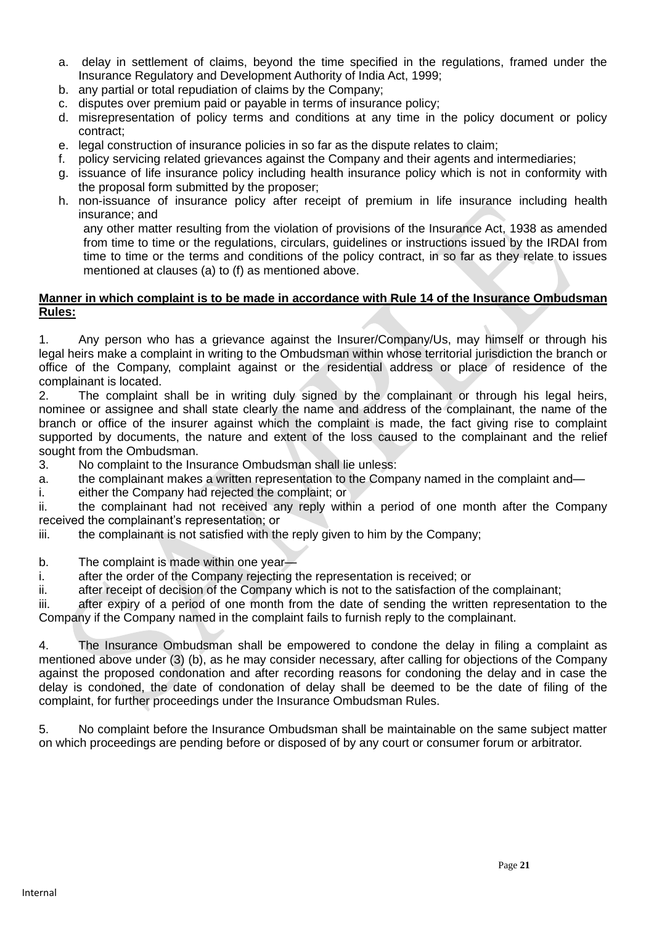- a. delay in settlement of claims, beyond the time specified in the regulations, framed under the Insurance Regulatory and Development Authority of India Act, 1999;
- b. any partial or total repudiation of claims by the Company;
- c. disputes over premium paid or payable in terms of insurance policy;
- d. misrepresentation of policy terms and conditions at any time in the policy document or policy contract;
- e. legal construction of insurance policies in so far as the dispute relates to claim;
- f. policy servicing related grievances against the Company and their agents and intermediaries;
- g. issuance of life insurance policy including health insurance policy which is not in conformity with the proposal form submitted by the proposer;
- h. non-issuance of insurance policy after receipt of premium in life insurance including health insurance; and

any other matter resulting from the violation of provisions of the Insurance Act, 1938 as amended from time to time or the regulations, circulars, guidelines or instructions issued by the IRDAI from time to time or the terms and conditions of the policy contract, in so far as they relate to issues mentioned at clauses (a) to (f) as mentioned above.

#### **Manner in which complaint is to be made in accordance with Rule 14 of the Insurance Ombudsman Rules:**

1. Any person who has a grievance against the Insurer/Company/Us, may himself or through his legal heirs make a complaint in writing to the Ombudsman within whose territorial jurisdiction the branch or office of the Company, complaint against or the residential address or place of residence of the complainant is located.

2. The complaint shall be in writing duly signed by the complainant or through his legal heirs, nominee or assignee and shall state clearly the name and address of the complainant, the name of the branch or office of the insurer against which the complaint is made, the fact giving rise to complaint supported by documents, the nature and extent of the loss caused to the complainant and the relief sought from the Ombudsman.

3. No complaint to the Insurance Ombudsman shall lie unless:

a. the complainant makes a written representation to the Company named in the complaint and—

i. either the Company had rejected the complaint; or

ii. the complainant had not received any reply within a period of one month after the Company received the complainant's representation; or

iii. the complainant is not satisfied with the reply given to him by the Company;

b. The complaint is made within one year-

i. after the order of the Company rejecting the representation is received; or

ii. after receipt of decision of the Company which is not to the satisfaction of the complainant;

iii. after expiry of a period of one month from the date of sending the written representation to the Company if the Company named in the complaint fails to furnish reply to the complainant.

4. The Insurance Ombudsman shall be empowered to condone the delay in filing a complaint as mentioned above under (3) (b), as he may consider necessary, after calling for objections of the Company against the proposed condonation and after recording reasons for condoning the delay and in case the delay is condoned, the date of condonation of delay shall be deemed to be the date of filing of the complaint, for further proceedings under the Insurance Ombudsman Rules.

5. No complaint before the Insurance Ombudsman shall be maintainable on the same subject matter on which proceedings are pending before or disposed of by any court or consumer forum or arbitrator.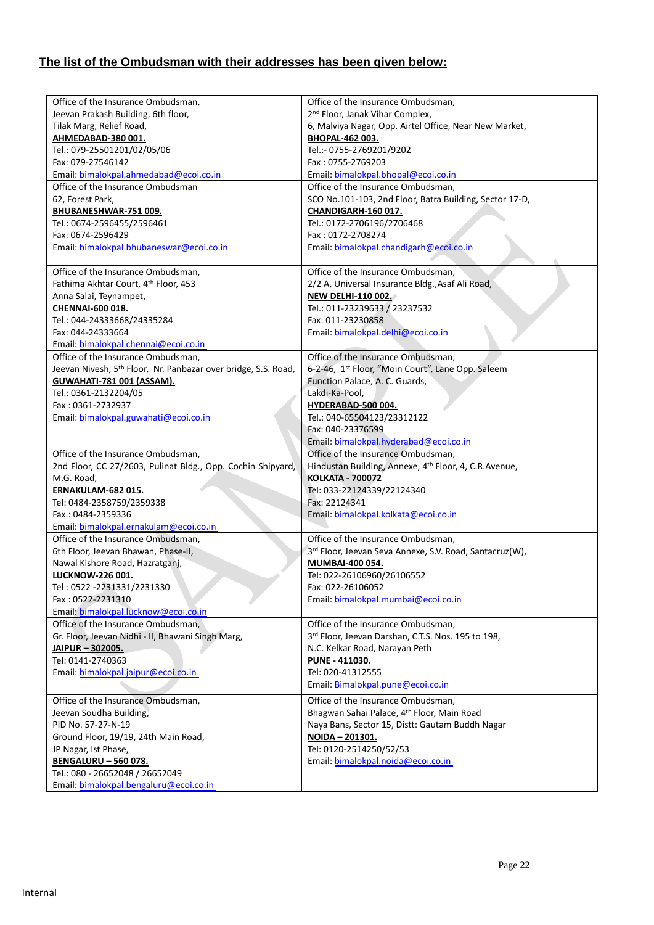# **The list of the Ombudsman with their addresses has been given below:**

| Office of the Insurance Ombudsman,                                         | Office of the Insurance Ombudsman,                                |
|----------------------------------------------------------------------------|-------------------------------------------------------------------|
| Jeevan Prakash Building, 6th floor,                                        | 2 <sup>nd</sup> Floor, Janak Vihar Complex,                       |
| Tilak Marg, Relief Road,                                                   | 6, Malviya Nagar, Opp. Airtel Office, Near New Market,            |
| AHMEDABAD-380 001.                                                         | <b>BHOPAL-462 003.</b>                                            |
| Tel.: 079-25501201/02/05/06                                                | Tel.:- 0755-2769201/9202                                          |
| Fax: 079-27546142                                                          | Fax: 0755-2769203                                                 |
| Email: bimalokpal.ahmedabad@ecoi.co.in                                     | Email: bimalokpal.bhopal@ecoi.co.in                               |
| Office of the Insurance Ombudsman                                          | Office of the Insurance Ombudsman,                                |
| 62, Forest Park,                                                           | SCO No.101-103, 2nd Floor, Batra Building, Sector 17-D,           |
| BHUBANESHWAR-751 009.                                                      | CHANDIGARH-160 017.                                               |
| Tel.: 0674-2596455/2596461                                                 | Tel.: 0172-2706196/2706468                                        |
| Fax: 0674-2596429                                                          | Fax: 0172-2708274                                                 |
| Email: bimalokpal.bhubaneswar@ecoi.co.in                                   | Email: bimalokpal.chandigarh@ecoi.co.in                           |
|                                                                            |                                                                   |
| Office of the Insurance Ombudsman,                                         | Office of the Insurance Ombudsman,                                |
| Fathima Akhtar Court, 4th Floor, 453                                       | 2/2 A, Universal Insurance Bldg., Asaf Ali Road,                  |
| Anna Salai, Teynampet,                                                     | <b>NEW DELHI-110 002.</b>                                         |
| <b>CHENNAI-600 018.</b>                                                    | Tel.: 011-23239633 / 23237532                                     |
| Tel.: 044-24333668/24335284                                                | Fax: 011-23230858                                                 |
| Fax: 044-24333664                                                          | Email: bimalokpal.delhi@ecoi.co.in                                |
| Email: bimalokpal.chennai@ecoi.co.in                                       |                                                                   |
| Office of the Insurance Ombudsman,                                         | Office of the Insurance Ombudsman,                                |
| Jeevan Nivesh, 5 <sup>th</sup> Floor, Nr. Panbazar over bridge, S.S. Road, | 6-2-46, 1st Floor, "Moin Court", Lane Opp. Saleem                 |
| <b>GUWAHATI-781 001 (ASSAM).</b>                                           | Function Palace, A. C. Guards,                                    |
| Tel.: 0361-2132204/05                                                      | Lakdi-Ka-Pool,                                                    |
| Fax: 0361-2732937                                                          | HYDERABAD-500 004.                                                |
| Email: bimalokpal.guwahati@ecoi.co.in                                      | Tel.: 040-65504123/23312122                                       |
|                                                                            | Fax: 040-23376599                                                 |
|                                                                            | Email: bimalokpal.hyderabad@ecoi.co.in                            |
| Office of the Insurance Ombudsman,                                         | Office of the Insurance Ombudsman,                                |
| 2nd Floor, CC 27/2603, Pulinat Bldg., Opp. Cochin Shipyard,                | Hindustan Building, Annexe, 4 <sup>th</sup> Floor, 4, C.R.Avenue, |
| M.G. Road,                                                                 |                                                                   |
|                                                                            | <b>KOLKATA - 700072</b>                                           |
| ERNAKULAM-682 015.                                                         | Tel: 033-22124339/22124340                                        |
| Tel: 0484-2358759/2359338                                                  | Fax: 22124341                                                     |
| Fax.: 0484-2359336                                                         | Email: bimalokpal.kolkata@ecoi.co.in                              |
| Email: bimalokpal.ernakulam@ecoi.co.in                                     |                                                                   |
| Office of the Insurance Ombudsman,                                         | Office of the Insurance Ombudsman.                                |
| 6th Floor, Jeevan Bhawan, Phase-II,                                        | 3rd Floor, Jeevan Seva Annexe, S.V. Road, Santacruz(W),           |
| Nawal Kishore Road, Hazratganj,                                            | MUMBAI-400 054.                                                   |
| <b>LUCKNOW-226 001.</b>                                                    | Tel: 022-26106960/26106552                                        |
| Tel: 0522 -2231331/2231330                                                 | Fax: 022-26106052                                                 |
| Fax: 0522-2231310                                                          | Email: bimalokpal.mumbai@ecoi.co.in                               |
| Email: bimalokpal.lucknow@ecoi.co.in                                       |                                                                   |
| Office of the Insurance Ombudsman,                                         | Office of the Insurance Ombudsman,                                |
| Gr. Floor, Jeevan Nidhi - II, Bhawani Singh Marg,                          | 3rd Floor, Jeevan Darshan, C.T.S. Nos. 195 to 198,                |
| JAIPUR - 302005.                                                           | N.C. Kelkar Road, Narayan Peth                                    |
| Tel: 0141-2740363                                                          | PUNE - 411030.                                                    |
| Email: bimalokpal.jaipur@ecoi.co.in                                        | Tel: 020-41312555                                                 |
|                                                                            | Email: Bimalokpal.pune@ecoi.co.in                                 |
| Office of the Insurance Ombudsman,                                         | Office of the Insurance Ombudsman,                                |
| Jeevan Soudha Building,                                                    | Bhagwan Sahai Palace, 4th Floor, Main Road                        |
| PID No. 57-27-N-19                                                         | Naya Bans, Sector 15, Distt: Gautam Buddh Nagar                   |
| Ground Floor, 19/19, 24th Main Road,                                       | NOIDA - 201301.                                                   |
| JP Nagar, Ist Phase,                                                       | Tel: 0120-2514250/52/53                                           |
| <b>BENGALURU - 560 078.</b>                                                | Email: bimalokpal.noida@ecoi.co.in                                |
| Tel.: 080 - 26652048 / 26652049                                            |                                                                   |
| Email: bimalokpal.bengaluru@ecoi.co.in                                     |                                                                   |
|                                                                            |                                                                   |